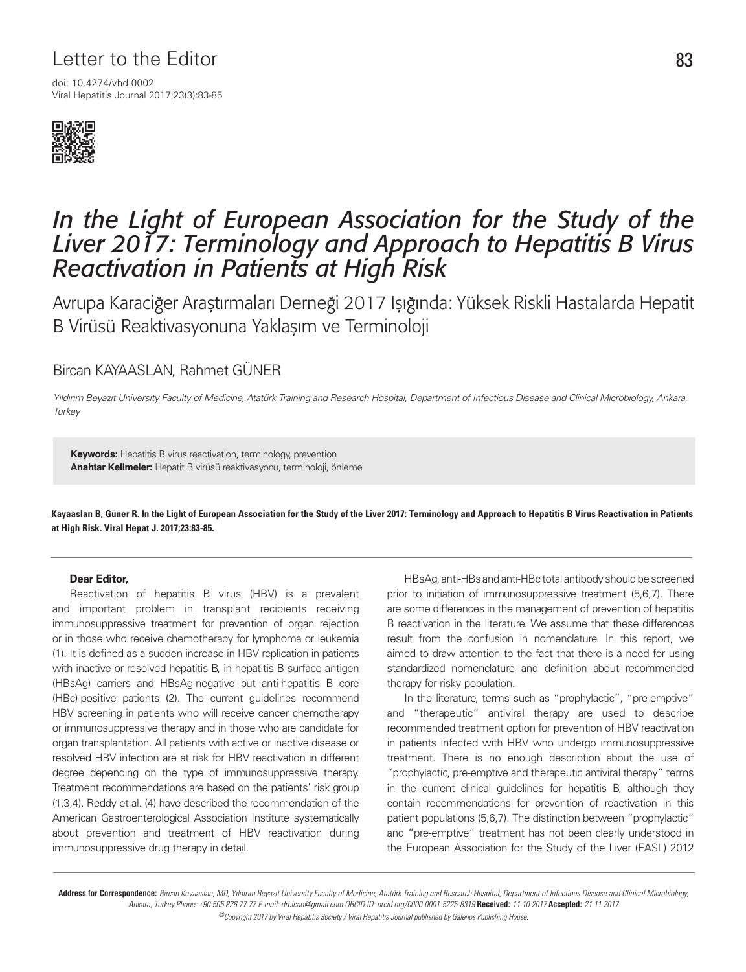## Letter to the Editor 83

Viral Hepatitis Journal 2017;23(3):83-85 doi: 10.4274/vhd.0002



# *In the Light of European Association for the Study of the Liver 2017: Terminology and Approach to Hepatitis B Virus Reactivation in Patients at High Risk*

Avrupa Karaciğer Araştırmaları Derneği 2017 Işığında: Yüksek Riskli Hastalarda Hepatit B Virüsü Reaktivasyonuna Yaklaşım ve Terminoloji

### Bircan KAYAASLAN, Rahmet GÜNER

Yıldırım Beyazıt University Faculty of Medicine, Atatürk Training and Research Hospital, Department of Infectious Disease and Clinical Microbiology, Ankara, **Turkey** 

**Keywords:** Hepatitis B virus reactivation, terminology, prevention **Anahtar Kelimeler:** Hepatit B virüsü reaktivasyonu, terminoloji, önleme

Kayaaslan B, Güner R. In the Light of European Association for the Study of the Liver 2017: Terminology and Approach to Hepatitis B Virus Reactivation in Patients at High Risk. Viral Hepat J. 2017;23:83-85.

#### **Dear Editor,**

Reactivation of hepatitis B virus (HBV) is a prevalent and important problem in transplant recipients receiving immunosuppressive treatment for prevention of organ rejection or in those who receive chemotherapy for lymphoma or leukemia (1). It is defined as a sudden increase in HBV replication in patients with inactive or resolved hepatitis B, in hepatitis B surface antigen (HBsAg) carriers and HBsAg-negative but anti-hepatitis B core (HBc)-positive patients (2). The current guidelines recommend HBV screening in patients who will receive cancer chemotherapy or immunosuppressive therapy and in those who are candidate for organ transplantation. All patients with active or inactive disease or resolved HBV infection are at risk for HBV reactivation in different degree depending on the type of immunosuppressive therapy. Treatment recommendations are based on the patients' risk group (1,3,4). Reddy et al. (4) have described the recommendation of the American Gastroenterological Association Institute systematically about prevention and treatment of HBV reactivation during immunosuppressive drug therapy in detail.

HBsAg, anti-HBs and anti-HBc total antibody should be screened prior to initiation of immunosuppressive treatment (5,6,7). There are some differences in the management of prevention of hepatitis B reactivation in the literature. We assume that these differences result from the confusion in nomenclature. In this report, we aimed to draw attention to the fact that there is a need for using standardized nomenclature and definition about recommended therapy for risky population.

In the literature, terms such as "prophylactic", "pre-emptive" and "therapeutic" antiviral therapy are used to describe recommended treatment option for prevention of HBV reactivation in patients infected with HBV who undergo immunosuppressive treatment. There is no enough description about the use of "prophylactic, pre-emptive and therapeutic antiviral therapy" terms in the current clinical guidelines for hepatitis B, although they contain recommendations for prevention of reactivation in this patient populations (5,6,7). The distinction between "prophylactic" and "pre-emptive" treatment has not been clearly understood in the European Association for the Study of the Liver (EASL) 2012

Address for Correspondence: Bircan Kayaaslan, MD, Yıldırım Beyazıt University Faculty of Medicine, Atatürk Training and Research Hospital, Department of Infectious Disease and Clinical Microbiology, Ankara, Turkey Phone: +90 505 826 77 77 E-mail: drbican@gmail.com ORCID ID: orcid.org/0000-0001-5225-8319 **Received:** 11.10.2017 **Accepted:** 21.11.2017 ©Copyright 2017 by Viral Hepatitis Society / Viral Hepatitis Journal published by Galenos Publishing House.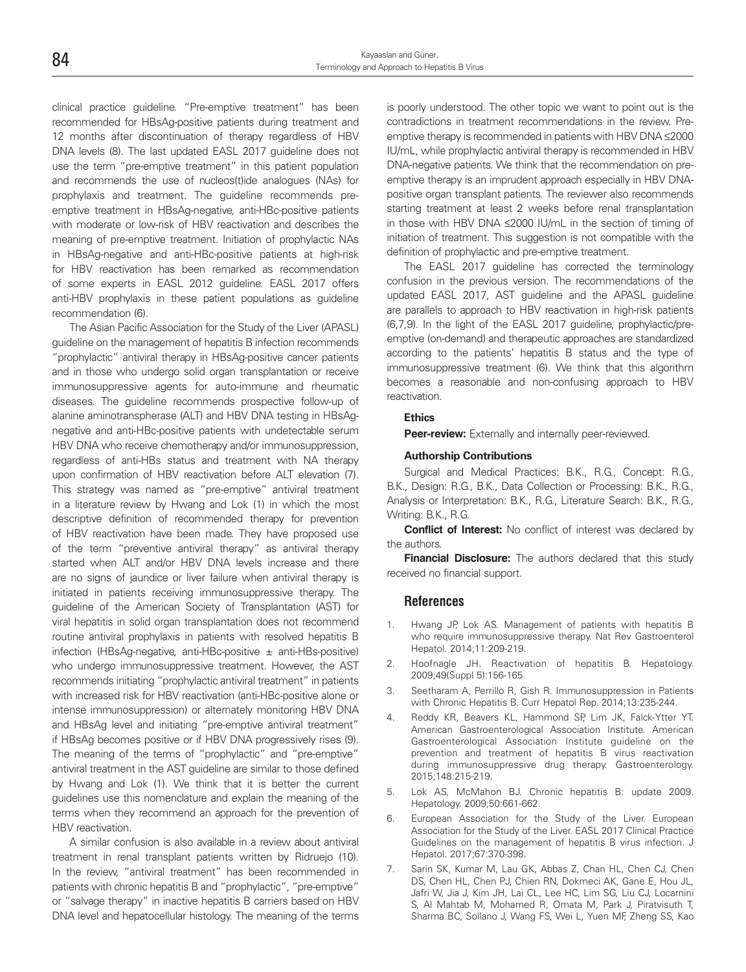clinical practice guideline. "Pre-emptive treatment" has been recommended for HBsAg-positive patients during treatment and 12 months after discontinuation of therapy regardless of HBV DNA levels (8). The last updated EASL 2017 guideline does not use the term "pre-emptive treatment" in this patient population and recommends the use of nucleos(t)ide analogues (NAs) for prophylaxis and treatment. The guideline recommends preemptive treatment in HBsAg-negative, anti-HBc-positive patients with moderate or low-risk of HBV reactivation and describes the meaning of pre-emptive treatment. Initiation of prophylactic NAs in HBsAg-negative and anti-HBc-positive patients at high-risk for HBV reactivation has been remarked as recommendation of some experts in EASL 2012 guideline. EASL 2017 offers anti-HBV prophylaxis in these patient populations as guideline recommendation (6).

The Asian Pacific Association for the Study of the Liver (APASL) guideline on the management of hepatitis B infection recommends "prophylactic" antiviral therapy in HBsAg-positive cancer patients and in those who undergo solid organ transplantation or receive immunosuppressive agents for auto-immune and rheumatic diseases. The guideline recommends prospective follow-up of alanine aminotranspherase (ALT) and HBV DNA testing in HBsAgnegative and anti-HBc-positive patients with undetectable serum HBV DNA who receive chemotherapy and/or immunosuppression, regardless of anti-HBs status and treatment with NA therapy upon confirmation of HBV reactivation before ALT elevation (7). This strategy was named as "pre-emptive" antiviral treatment in a literature review by Hwang and Lok (1) in which the most descriptive definition of recommended therapy for prevention of HBV reactivation have been made. They have proposed use of the term "preventive antiviral therapy" as antiviral therapy started when ALT and/or HBV DNA levels increase and there are no signs of jaundice or liver failure when antiviral therapy is initiated in patients receiving immunosuppressive therapy. The guideline of the American Society of Transplantation (AST) for viral hepatitis in solid organ transplantation does not recommend routine antiviral prophylaxis in patients with resolved hepatitis B infection (HBsAg-negative, anti-HBc-positive  $\pm$  anti-HBs-positive) who undergo immunosuppressive treatment. However, the AST recommends initiating "prophylactic antiviral treatment" in patients with increased risk for HBV reactivation (anti-HBc-positive alone or intense immunosuppression) or alternately monitoring HBV DNA and HBsAg level and initiating "pre-emptive antiviral treatment" if HBsAg becomes positive or if HBV DNA progressively rises (9). The meaning of the terms of "prophylactic" and "pre-emptive" antiviral treatment in the AST guideline are similar to those defined by Hwang and Lok (1). We think that it is better the current guidelines use this nomenclature and explain the meaning of the terms when they recommend an approach for the prevention of HBV reactivation.

A similar confusion is also available in a review about antiviral treatment in renal transplant patients written by Ridruejo (10). In the review, "antiviral treatment" has been recommended in patients with chronic hepatitis B and "prophylactic", "pre-emptive" or "salvage therapy" in inactive hepatitis B carriers based on HBV DNA level and hepatocellular histology. The meaning of the terms

is poorly understood. The other topic we want to point out is the contradictions in treatment recommendations in the review. Preemptive therapy is recommended in patients with HBV DNA ≤2000 IU/mL, while prophylactic antiviral therapy is recommended in HBV DNA-negative patients. We think that the recommendation on preemptive therapy is an imprudent approach especially in HBV DNApositive organ transplant patients. The reviewer also recommends starting treatment at least 2 weeks before renal transplantation in those with HBV DNA ≤2000 IU/mL in the section of timing of initiation of treatment. This suggestion is not compatible with the definition of prophylactic and pre-emptive treatment.

The EASL 2017 guideline has corrected the terminology confusion in the previous version. The recommendations of the updated EASL 2017, AST guideline and the APASL guideline are parallels to approach to HBV reactivation in high-risk patients (6,7,9). In the light of the EASL 2017 guideline, prophylactic/preemptive (on-demand) and therapeutic approaches are standardized according to the patients' hepatitis B status and the type of immunosuppressive treatment (6). We think that this algorithm becomes a reasonable and non-confusing approach to HBV reactivation.

#### **Ethics**

**Peer-review:** Externally and internally peer-reviewed.

#### **Authorship Contributions**

Surgical and Medical Practices: B.K., R.G., Concept: R.G., B.K., Design: R.G., B.K., Data Collection or Processing: B.K., R.G., Analysis or Interpretation: B.K., R.G., Literature Search: B.K., R.G., Writing: B.K., R.G.

**Conflict of Interest:** No conflict of interest was declared by the authors.

**Financial Disclosure:** The authors declared that this study received no financial support.

#### **References**

- Hwang JP, Lok AS. Management of patients with hepatitis B who require immunosuppressive therapy. Nat Rev Gastroenterol Hepatol. 2014;11:209-219.
- 2. Hoofnagle JH. Reactivation of hepatitis B. Hepatology. 2009;49(Suppl 5):156-165.
- 3. Seetharam A, Perrillo R, Gish R. Immunosuppression in Patients with Chronic Hepatitis B. Curr Hepatol Rep. 2014;13:235-244.
- 4. Reddy KR, Beavers KL, Hammond SP, Lim JK, Falck-Ytter YT. American Gastroenterological Association Institute. American Gastroenterological Association Institute guideline on the prevention and treatment of hepatitis B virus reactivation during immunosuppressive drug therapy. Gastroenterology. 2015;148:215-219.
- 5. Lok AS, McMahon BJ. Chronic hepatitis B: update 2009. Hepatology. 2009;50:661-662.
- 6. European Association for the Study of the Liver. European Association for the Study of the Liver. EASL 2017 Clinical Practice Guidelines on the management of hepatitis B virus infection. J Hepatol. 2017;67:370-398.
- 7. Sarin SK, Kumar M, Lau GK, Abbas Z, Chan HL, Chen CJ, Chen DS, Chen HL, Chen PJ, Chien RN, Dokmeci AK, Gane E, Hou JL, Jafri W, Jia J, Kim JH, Lai CL, Lee HC, Lim SG, Liu CJ, Locarnini S, Al Mahtab M, Mohamed R, Omata M, Park J, Piratvisuth T, Sharma BC, Sollano J, Wang FS, Wei L, Yuen MF, Zheng SS, Kao